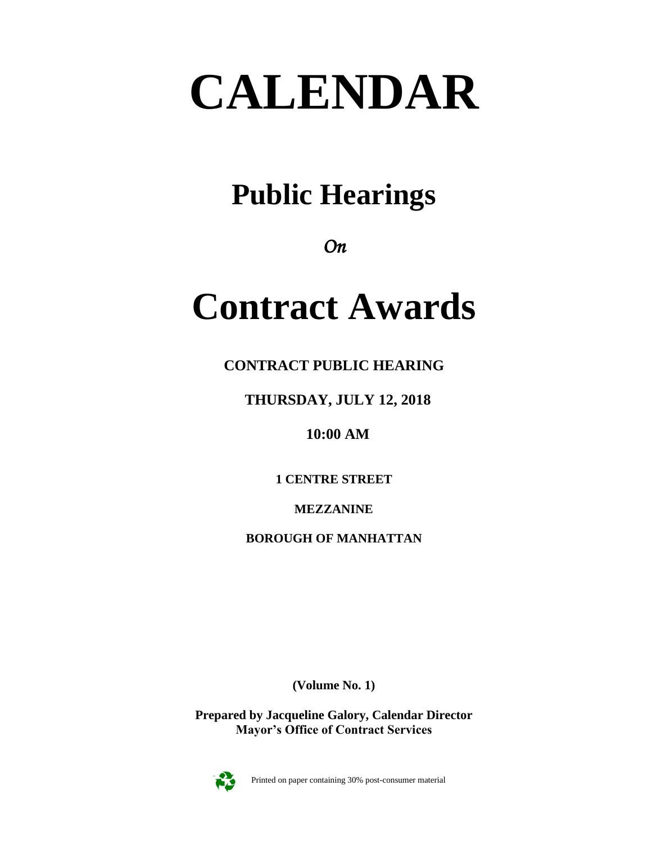# **CALENDAR**

# **Public Hearings**

*On* 

# **Contract Awards**

**CONTRACT PUBLIC HEARING**

**THURSDAY, JULY 12, 2018**

**10:00 AM**

**1 CENTRE STREET**

**MEZZANINE**

**BOROUGH OF MANHATTAN**

**(Volume No. 1)**

**Prepared by Jacqueline Galory, Calendar Director Mayor's Office of Contract Services**



Printed on paper containing 30% post-consumer material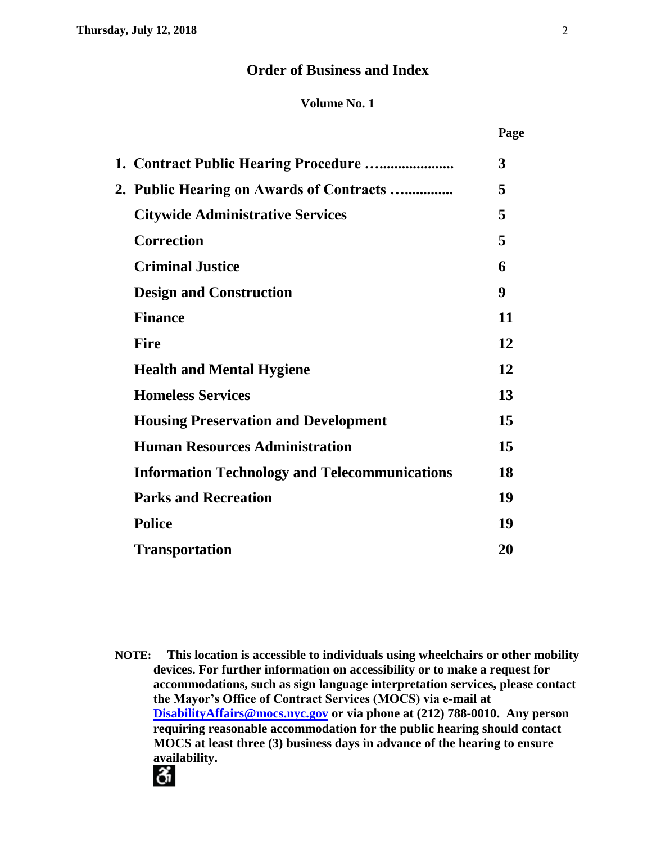# **Order of Business and Index**

# **Volume No. 1**

| 1. Contract Public Hearing Procedure                 | 3  |
|------------------------------------------------------|----|
| 2. Public Hearing on Awards of Contracts             | 5  |
| <b>Citywide Administrative Services</b>              | 5  |
| <b>Correction</b>                                    | 5  |
| <b>Criminal Justice</b>                              | 6  |
| <b>Design and Construction</b>                       | 9  |
| <b>Finance</b>                                       | 11 |
| <b>Fire</b>                                          | 12 |
| <b>Health and Mental Hygiene</b>                     | 12 |
| <b>Homeless Services</b>                             | 13 |
| <b>Housing Preservation and Development</b>          | 15 |
| <b>Human Resources Administration</b>                | 15 |
| <b>Information Technology and Telecommunications</b> | 18 |
| <b>Parks and Recreation</b>                          | 19 |
| <b>Police</b>                                        | 19 |
| <b>Transportation</b>                                | 20 |
|                                                      |    |

**NOTE: This location is accessible to individuals using wheelchairs or other mobility devices. For further information on accessibility or to make a request for accommodations, such as sign language interpretation services, please contact the Mayor's Office of Contract Services (MOCS) via e-mail at [DisabilityAffairs@mocs.nyc.gov](mailto:DisabilityAffairs@mocs.nyc.gov) or via phone at (212) 788-0010. Any person requiring reasonable accommodation for the public hearing should contact MOCS at least three (3) business days in advance of the hearing to ensure availability.**

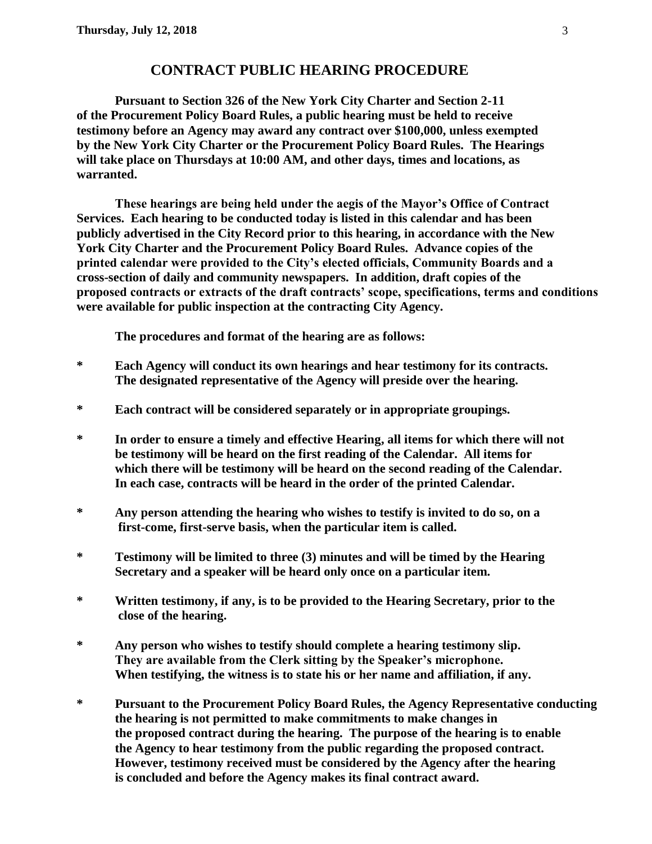# **CONTRACT PUBLIC HEARING PROCEDURE**

**Pursuant to Section 326 of the New York City Charter and Section 2-11 of the Procurement Policy Board Rules, a public hearing must be held to receive testimony before an Agency may award any contract over \$100,000, unless exempted by the New York City Charter or the Procurement Policy Board Rules. The Hearings will take place on Thursdays at 10:00 AM, and other days, times and locations, as warranted.**

**These hearings are being held under the aegis of the Mayor's Office of Contract Services. Each hearing to be conducted today is listed in this calendar and has been publicly advertised in the City Record prior to this hearing, in accordance with the New York City Charter and the Procurement Policy Board Rules. Advance copies of the printed calendar were provided to the City's elected officials, Community Boards and a cross-section of daily and community newspapers. In addition, draft copies of the proposed contracts or extracts of the draft contracts' scope, specifications, terms and conditions were available for public inspection at the contracting City Agency.**

**The procedures and format of the hearing are as follows:**

- **\* Each Agency will conduct its own hearings and hear testimony for its contracts. The designated representative of the Agency will preside over the hearing.**
- **\* Each contract will be considered separately or in appropriate groupings.**
- **\* In order to ensure a timely and effective Hearing, all items for which there will not be testimony will be heard on the first reading of the Calendar. All items for which there will be testimony will be heard on the second reading of the Calendar. In each case, contracts will be heard in the order of the printed Calendar.**
- **\* Any person attending the hearing who wishes to testify is invited to do so, on a first-come, first-serve basis, when the particular item is called.**
- **\* Testimony will be limited to three (3) minutes and will be timed by the Hearing Secretary and a speaker will be heard only once on a particular item.**
- **\* Written testimony, if any, is to be provided to the Hearing Secretary, prior to the close of the hearing.**
- **\* Any person who wishes to testify should complete a hearing testimony slip. They are available from the Clerk sitting by the Speaker's microphone. When testifying, the witness is to state his or her name and affiliation, if any.**
- **\* Pursuant to the Procurement Policy Board Rules, the Agency Representative conducting the hearing is not permitted to make commitments to make changes in the proposed contract during the hearing. The purpose of the hearing is to enable the Agency to hear testimony from the public regarding the proposed contract. However, testimony received must be considered by the Agency after the hearing is concluded and before the Agency makes its final contract award.**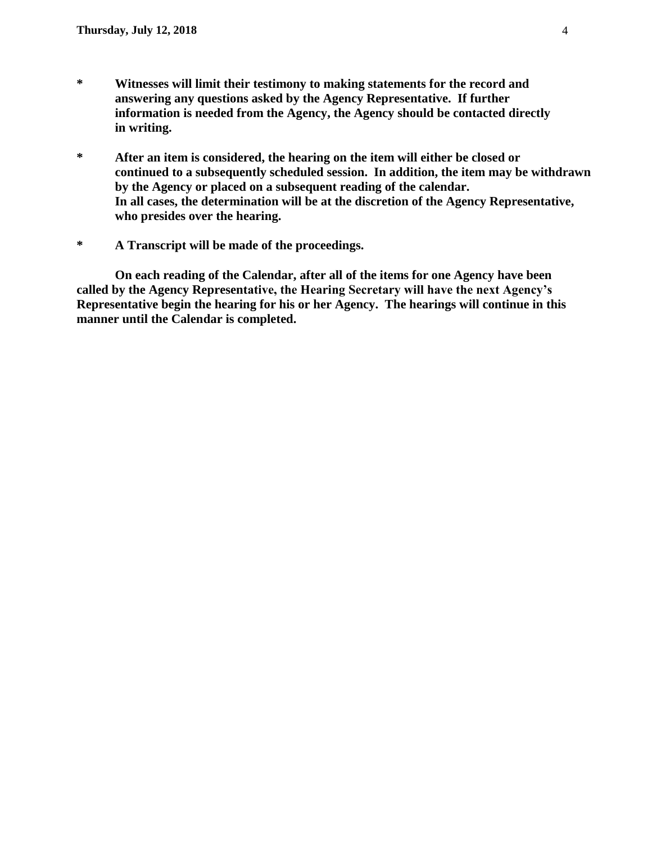- **\* Witnesses will limit their testimony to making statements for the record and answering any questions asked by the Agency Representative. If further information is needed from the Agency, the Agency should be contacted directly in writing.**
- **\* After an item is considered, the hearing on the item will either be closed or continued to a subsequently scheduled session. In addition, the item may be withdrawn by the Agency or placed on a subsequent reading of the calendar. In all cases, the determination will be at the discretion of the Agency Representative, who presides over the hearing.**
- **\* A Transcript will be made of the proceedings.**

**On each reading of the Calendar, after all of the items for one Agency have been called by the Agency Representative, the Hearing Secretary will have the next Agency's Representative begin the hearing for his or her Agency. The hearings will continue in this manner until the Calendar is completed.**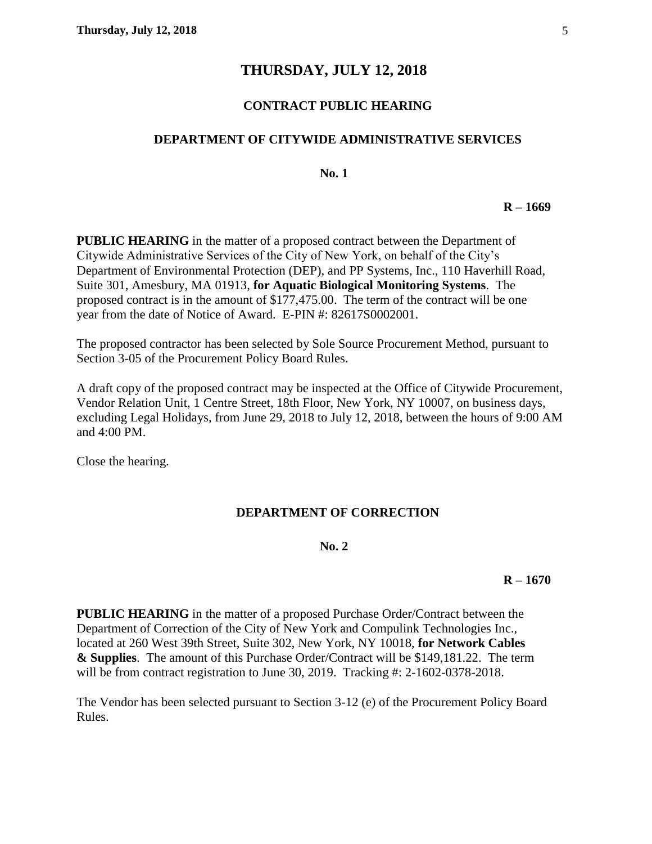# **THURSDAY, JULY 12, 2018**

# **CONTRACT PUBLIC HEARING**

#### **DEPARTMENT OF CITYWIDE ADMINISTRATIVE SERVICES**

**No. 1**

**R – 1669**

**PUBLIC HEARING** in the matter of a proposed contract between the Department of Citywide Administrative Services of the City of New York, on behalf of the City's Department of Environmental Protection (DEP), and PP Systems, Inc., 110 Haverhill Road, Suite 301, Amesbury, MA 01913, **for Aquatic Biological Monitoring Systems**. The proposed contract is in the amount of \$177,475.00. The term of the contract will be one year from the date of Notice of Award. E-PIN #: 82617S0002001.

The proposed contractor has been selected by Sole Source Procurement Method, pursuant to Section 3-05 of the Procurement Policy Board Rules.

A draft copy of the proposed contract may be inspected at the Office of Citywide Procurement, Vendor Relation Unit, 1 Centre Street, 18th Floor, New York, NY 10007, on business days, excluding Legal Holidays, from June 29, 2018 to July 12, 2018, between the hours of 9:00 AM and 4:00 PM.

Close the hearing.

#### **DEPARTMENT OF CORRECTION**

#### **No. 2**

#### **R – 1670**

**PUBLIC HEARING** in the matter of a proposed Purchase Order/Contract between the Department of Correction of the City of New York and Compulink Technologies Inc., located at 260 West 39th Street, Suite 302, New York, NY 10018, **for Network Cables & Supplies**. The amount of this Purchase Order/Contract will be \$149,181.22. The term will be from contract registration to June 30, 2019. Tracking #: 2-1602-0378-2018.

The Vendor has been selected pursuant to Section 3-12 (e) of the Procurement Policy Board Rules.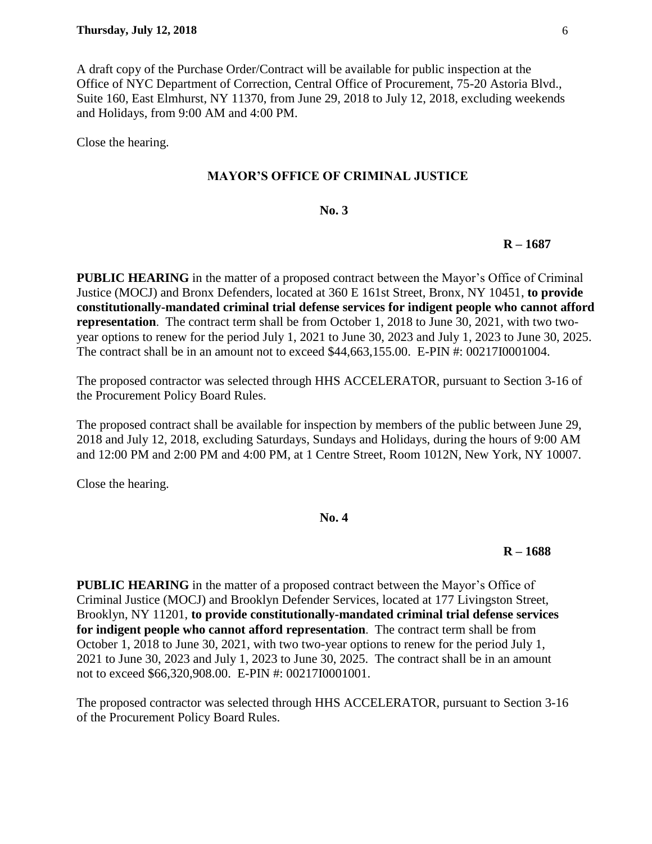A draft copy of the Purchase Order/Contract will be available for public inspection at the Office of NYC Department of Correction, Central Office of Procurement, 75-20 Astoria Blvd., Suite 160, East Elmhurst, NY 11370, from June 29, 2018 to July 12, 2018, excluding weekends and Holidays, from 9:00 AM and 4:00 PM.

Close the hearing.

#### **MAYOR'S OFFICE OF CRIMINAL JUSTICE**

#### **No. 3**

#### **R – 1687**

**PUBLIC HEARING** in the matter of a proposed contract between the Mayor's Office of Criminal Justice (MOCJ) and Bronx Defenders, located at 360 E 161st Street, Bronx, NY 10451, **to provide constitutionally-mandated criminal trial defense services for indigent people who cannot afford representation**.The contract term shall be from October 1, 2018 to June 30, 2021, with two twoyear options to renew for the period July 1, 2021 to June 30, 2023 and July 1, 2023 to June 30, 2025. The contract shall be in an amount not to exceed \$44,663,155.00. E-PIN #: 00217I0001004.

The proposed contractor was selected through HHS ACCELERATOR, pursuant to Section 3-16 of the Procurement Policy Board Rules.

The proposed contract shall be available for inspection by members of the public between June 29, 2018 and July 12, 2018, excluding Saturdays, Sundays and Holidays, during the hours of 9:00 AM and 12:00 PM and 2:00 PM and 4:00 PM, at 1 Centre Street, Room 1012N, New York, NY 10007.

Close the hearing.

# **No. 4**

#### **R – 1688**

**PUBLIC HEARING** in the matter of a proposed contract between the Mayor's Office of Criminal Justice (MOCJ) and Brooklyn Defender Services, located at 177 Livingston Street, Brooklyn, NY 11201, **to provide constitutionally-mandated criminal trial defense services for indigent people who cannot afford representation**.The contract term shall be from October 1, 2018 to June 30, 2021, with two two-year options to renew for the period July 1, 2021 to June 30, 2023 and July 1, 2023 to June 30, 2025. The contract shall be in an amount not to exceed \$66,320,908.00. E-PIN #: 00217I0001001.

The proposed contractor was selected through HHS ACCELERATOR, pursuant to Section 3-16 of the Procurement Policy Board Rules.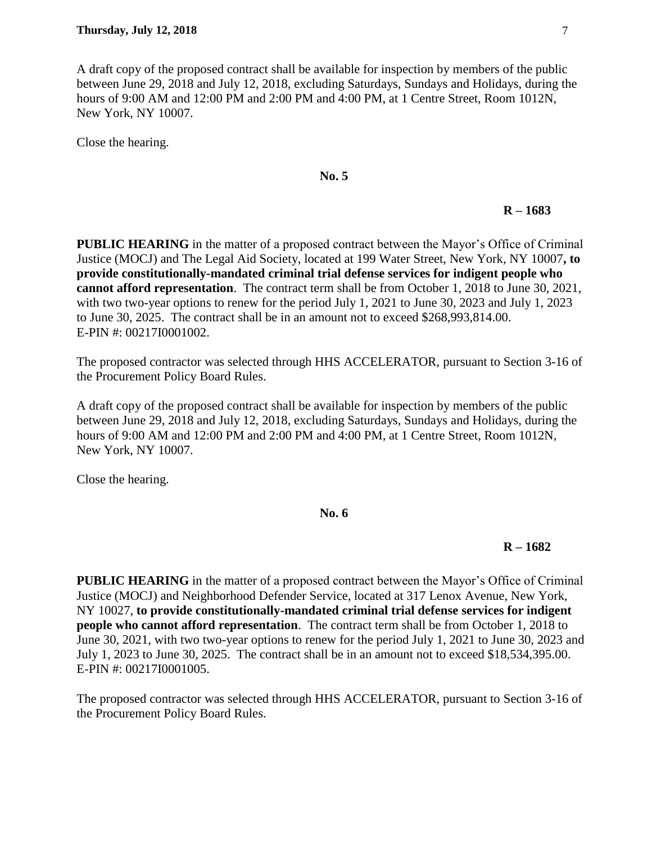A draft copy of the proposed contract shall be available for inspection by members of the public between June 29, 2018 and July 12, 2018, excluding Saturdays, Sundays and Holidays, during the hours of 9:00 AM and 12:00 PM and 2:00 PM and 4:00 PM, at 1 Centre Street, Room 1012N, New York, NY 10007.

Close the hearing.

# **No. 5**

# **R – 1683**

**PUBLIC HEARING** in the matter of a proposed contract between the Mayor's Office of Criminal Justice (MOCJ) and The Legal Aid Society, located at 199 Water Street, New York, NY 10007**, to provide constitutionally-mandated criminal trial defense services for indigent people who cannot afford representation**. The contract term shall be from October 1, 2018 to June 30, 2021, with two two-year options to renew for the period July 1, 2021 to June 30, 2023 and July 1, 2023 to June 30, 2025. The contract shall be in an amount not to exceed \$268,993,814.00. E-PIN #: 00217I0001002.

The proposed contractor was selected through HHS ACCELERATOR, pursuant to Section 3-16 of the Procurement Policy Board Rules.

A draft copy of the proposed contract shall be available for inspection by members of the public between June 29, 2018 and July 12, 2018, excluding Saturdays, Sundays and Holidays, during the hours of 9:00 AM and 12:00 PM and 2:00 PM and 4:00 PM, at 1 Centre Street, Room 1012N, New York, NY 10007.

Close the hearing.

#### **No. 6**

# **R – 1682**

**PUBLIC HEARING** in the matter of a proposed contract between the Mayor's Office of Criminal Justice (MOCJ) and Neighborhood Defender Service, located at 317 Lenox Avenue, New York, NY 10027, **to provide constitutionally-mandated criminal trial defense services for indigent people who cannot afford representation**. The contract term shall be from October 1, 2018 to June 30, 2021, with two two-year options to renew for the period July 1, 2021 to June 30, 2023 and July 1, 2023 to June 30, 2025. The contract shall be in an amount not to exceed \$18,534,395.00. E-PIN #: 00217I0001005.

The proposed contractor was selected through HHS ACCELERATOR, pursuant to Section 3-16 of the Procurement Policy Board Rules.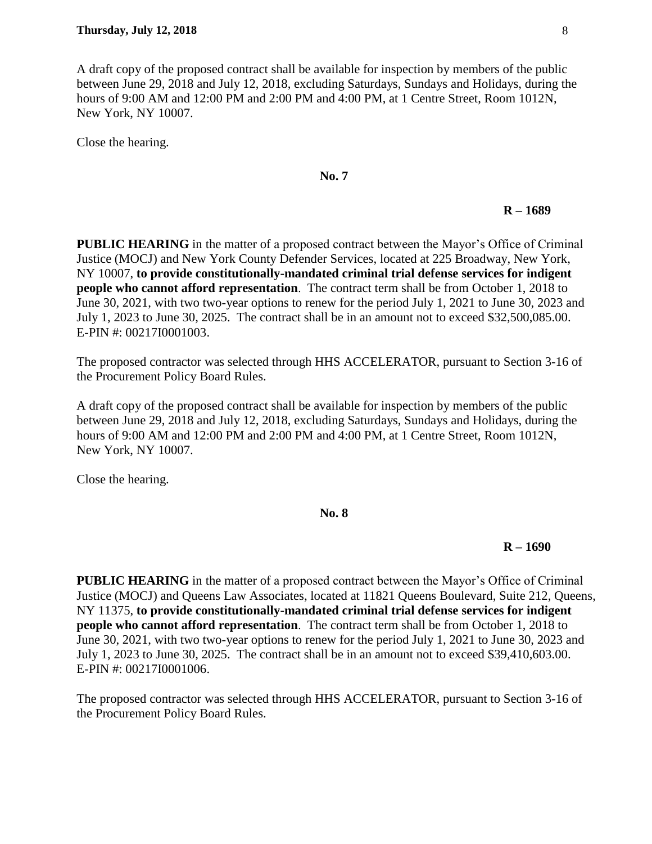A draft copy of the proposed contract shall be available for inspection by members of the public between June 29, 2018 and July 12, 2018, excluding Saturdays, Sundays and Holidays, during the hours of 9:00 AM and 12:00 PM and 2:00 PM and 4:00 PM, at 1 Centre Street, Room 1012N, New York, NY 10007.

Close the hearing.

# **No. 7**

#### **R – 1689**

**PUBLIC HEARING** in the matter of a proposed contract between the Mayor's Office of Criminal Justice (MOCJ) and New York County Defender Services, located at 225 Broadway, New York, NY 10007, **to provide constitutionally-mandated criminal trial defense services for indigent people who cannot afford representation**. The contract term shall be from October 1, 2018 to June 30, 2021, with two two-year options to renew for the period July 1, 2021 to June 30, 2023 and July 1, 2023 to June 30, 2025. The contract shall be in an amount not to exceed \$32,500,085.00. E-PIN #: 00217I0001003.

The proposed contractor was selected through HHS ACCELERATOR, pursuant to Section 3-16 of the Procurement Policy Board Rules.

A draft copy of the proposed contract shall be available for inspection by members of the public between June 29, 2018 and July 12, 2018, excluding Saturdays, Sundays and Holidays, during the hours of 9:00 AM and 12:00 PM and 2:00 PM and 4:00 PM, at 1 Centre Street, Room 1012N, New York, NY 10007.

Close the hearing.

#### **No. 8**

# **R – 1690**

**PUBLIC HEARING** in the matter of a proposed contract between the Mayor's Office of Criminal Justice (MOCJ) and Queens Law Associates, located at 11821 Queens Boulevard, Suite 212, Queens, NY 11375, **to provide constitutionally-mandated criminal trial defense services for indigent people who cannot afford representation**.The contract term shall be from October 1, 2018 to June 30, 2021, with two two-year options to renew for the period July 1, 2021 to June 30, 2023 and July 1, 2023 to June 30, 2025. The contract shall be in an amount not to exceed \$39,410,603.00. E-PIN #: 00217I0001006.

The proposed contractor was selected through HHS ACCELERATOR, pursuant to Section 3-16 of the Procurement Policy Board Rules.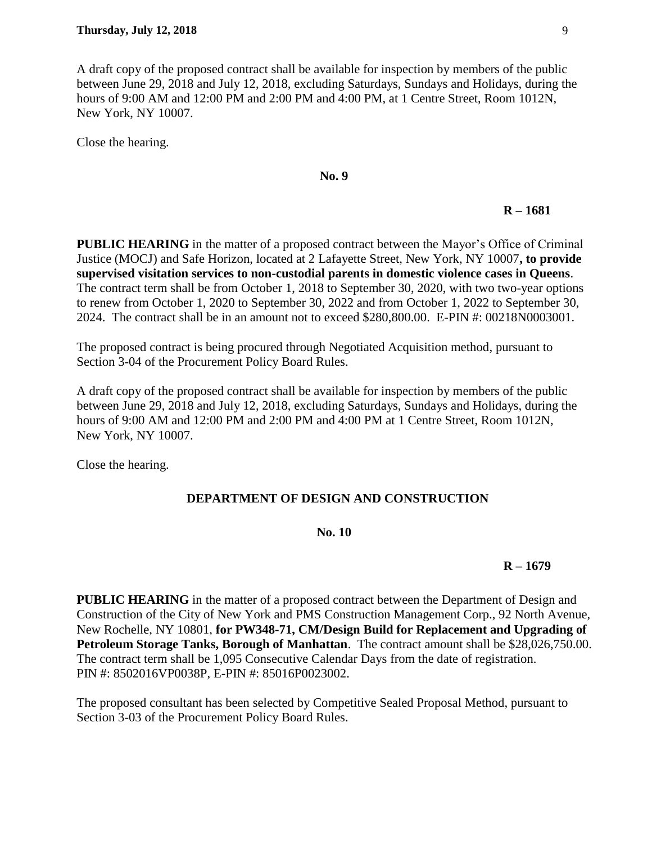A draft copy of the proposed contract shall be available for inspection by members of the public between June 29, 2018 and July 12, 2018, excluding Saturdays, Sundays and Holidays, during the hours of 9:00 AM and 12:00 PM and 2:00 PM and 4:00 PM, at 1 Centre Street, Room 1012N, New York, NY 10007.

Close the hearing.

# **No. 9**

# **R – 1681**

**PUBLIC HEARING** in the matter of a proposed contract between the Mayor's Office of Criminal Justice (MOCJ) and Safe Horizon, located at 2 Lafayette Street, New York, NY 10007**, to provide supervised visitation services to non-custodial parents in domestic violence cases in Queens**. The contract term shall be from October 1, 2018 to September 30, 2020, with two two-year options to renew from October 1, 2020 to September 30, 2022 and from October 1, 2022 to September 30, 2024. The contract shall be in an amount not to exceed \$280,800.00. E-PIN #: 00218N0003001.

The proposed contract is being procured through Negotiated Acquisition method, pursuant to Section 3-04 of the Procurement Policy Board Rules.

A draft copy of the proposed contract shall be available for inspection by members of the public between June 29, 2018 and July 12, 2018, excluding Saturdays, Sundays and Holidays, during the hours of 9:00 AM and 12:00 PM and 2:00 PM and 4:00 PM at 1 Centre Street, Room 1012N, New York, NY 10007.

Close the hearing.

# **DEPARTMENT OF DESIGN AND CONSTRUCTION**

#### **No. 10**

# **R – 1679**

**PUBLIC HEARING** in the matter of a proposed contract between the Department of Design and Construction of the City of New York and PMS Construction Management Corp., 92 North Avenue, New Rochelle, NY 10801, **for PW348-71, CM/Design Build for Replacement and Upgrading of Petroleum Storage Tanks, Borough of Manhattan**. The contract amount shall be \$28,026,750.00. The contract term shall be 1,095 Consecutive Calendar Days from the date of registration. PIN #: 8502016VP0038P, E-PIN #: 85016P0023002.

The proposed consultant has been selected by Competitive Sealed Proposal Method, pursuant to Section 3-03 of the Procurement Policy Board Rules.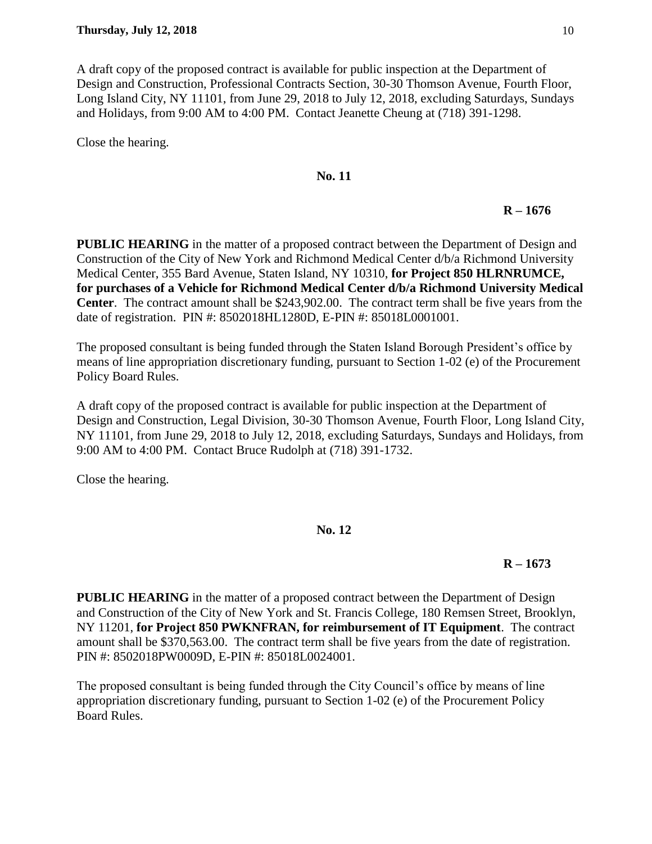A draft copy of the proposed contract is available for public inspection at the Department of Design and Construction, Professional Contracts Section, 30-30 Thomson Avenue, Fourth Floor, Long Island City, NY 11101, from June 29, 2018 to July 12, 2018, excluding Saturdays, Sundays and Holidays, from 9:00 AM to 4:00 PM. Contact Jeanette Cheung at (718) 391-1298.

Close the hearing.

# **No. 11**

# **R – 1676**

**PUBLIC HEARING** in the matter of a proposed contract between the Department of Design and Construction of the City of New York and Richmond Medical Center d/b/a Richmond University Medical Center, 355 Bard Avenue, Staten Island, NY 10310, **for Project 850 HLRNRUMCE, for purchases of a Vehicle for Richmond Medical Center d/b/a Richmond University Medical Center**. The contract amount shall be \$243,902.00. The contract term shall be five years from the date of registration. PIN #: 8502018HL1280D, E-PIN #: 85018L0001001.

The proposed consultant is being funded through the Staten Island Borough President's office by means of line appropriation discretionary funding, pursuant to Section 1-02 (e) of the Procurement Policy Board Rules.

A draft copy of the proposed contract is available for public inspection at the Department of Design and Construction, Legal Division, 30-30 Thomson Avenue, Fourth Floor, Long Island City, NY 11101, from June 29, 2018 to July 12, 2018, excluding Saturdays, Sundays and Holidays, from 9:00 AM to 4:00 PM. Contact Bruce Rudolph at (718) 391-1732.

Close the hearing.

# **No. 12**

# **R – 1673**

**PUBLIC HEARING** in the matter of a proposed contract between the Department of Design and Construction of the City of New York and St. Francis College, 180 Remsen Street, Brooklyn, NY 11201, **for Project 850 PWKNFRAN, for reimbursement of IT Equipment**. The contract amount shall be \$370,563.00. The contract term shall be five years from the date of registration. PIN #: 8502018PW0009D, E-PIN #: 85018L0024001.

The proposed consultant is being funded through the City Council's office by means of line appropriation discretionary funding, pursuant to Section 1-02 (e) of the Procurement Policy Board Rules.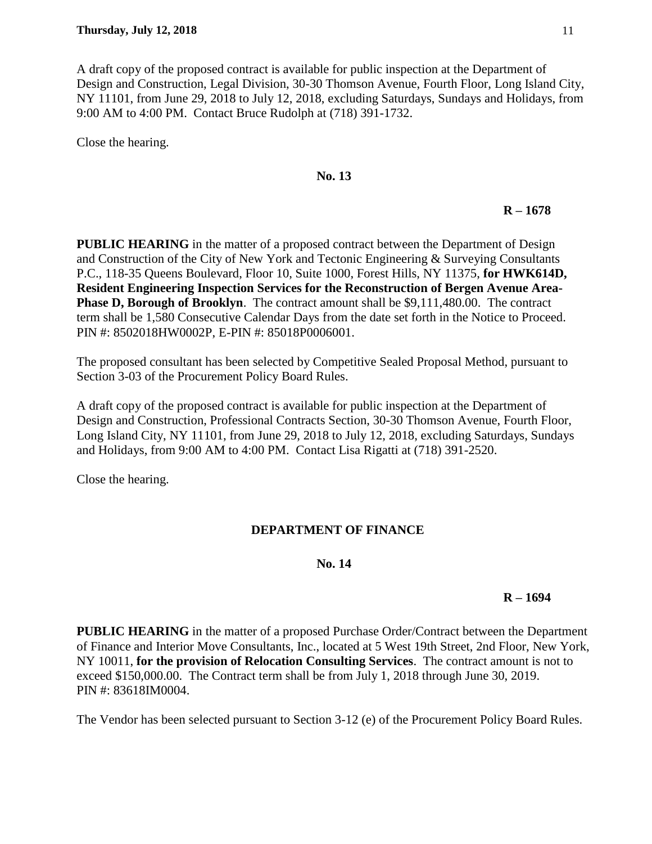A draft copy of the proposed contract is available for public inspection at the Department of Design and Construction, Legal Division, 30-30 Thomson Avenue, Fourth Floor, Long Island City, NY 11101, from June 29, 2018 to July 12, 2018, excluding Saturdays, Sundays and Holidays, from 9:00 AM to 4:00 PM. Contact Bruce Rudolph at (718) 391-1732.

Close the hearing.

# **No. 13**

# **R – 1678**

**PUBLIC HEARING** in the matter of a proposed contract between the Department of Design and Construction of the City of New York and Tectonic Engineering & Surveying Consultants P.C., 118-35 Queens Boulevard, Floor 10, Suite 1000, Forest Hills, NY 11375, **for HWK614D, Resident Engineering Inspection Services for the Reconstruction of Bergen Avenue Area-Phase D, Borough of Brooklyn**. The contract amount shall be \$9,111,480.00. The contract term shall be 1,580 Consecutive Calendar Days from the date set forth in the Notice to Proceed. PIN #: 8502018HW0002P, E-PIN #: 85018P0006001.

The proposed consultant has been selected by Competitive Sealed Proposal Method, pursuant to Section 3-03 of the Procurement Policy Board Rules.

A draft copy of the proposed contract is available for public inspection at the Department of Design and Construction, Professional Contracts Section, 30-30 Thomson Avenue, Fourth Floor, Long Island City, NY 11101, from June 29, 2018 to July 12, 2018, excluding Saturdays, Sundays and Holidays, from 9:00 AM to 4:00 PM. Contact Lisa Rigatti at (718) 391-2520.

Close the hearing.

# **DEPARTMENT OF FINANCE**

# **No. 14**

# **R – 1694**

**PUBLIC HEARING** in the matter of a proposed Purchase Order/Contract between the Department of Finance and Interior Move Consultants, Inc., located at 5 West 19th Street, 2nd Floor, New York, NY 10011, **for the provision of Relocation Consulting Services**. The contract amount is not to exceed \$150,000.00. The Contract term shall be from July 1, 2018 through June 30, 2019. PIN #: 83618IM0004.

The Vendor has been selected pursuant to Section 3-12 (e) of the Procurement Policy Board Rules.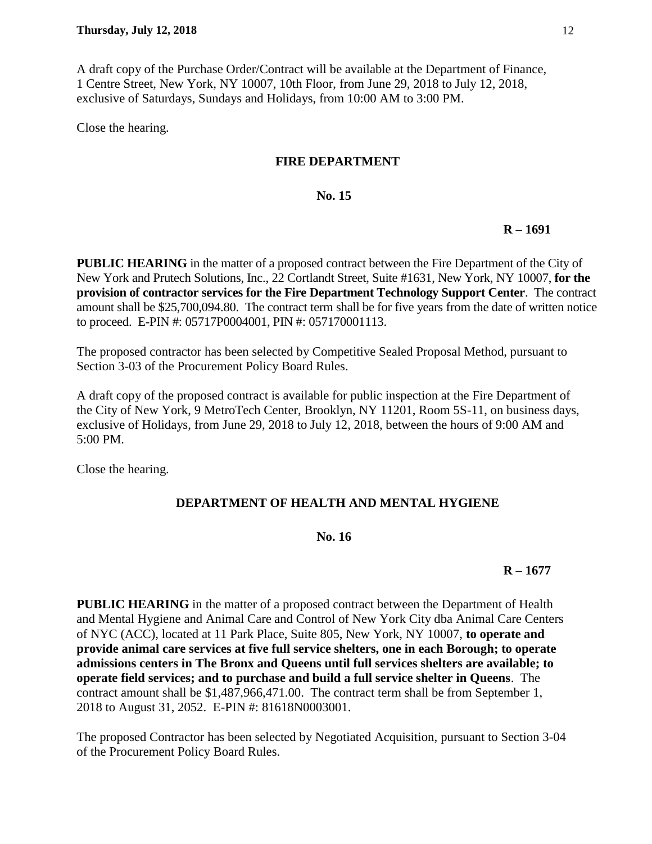A draft copy of the Purchase Order/Contract will be available at the Department of Finance, 1 Centre Street, New York, NY 10007, 10th Floor, from June 29, 2018 to July 12, 2018, exclusive of Saturdays, Sundays and Holidays, from 10:00 AM to 3:00 PM.

Close the hearing.

# **FIRE DEPARTMENT**

# **No. 15**

# **R – 1691**

**PUBLIC HEARING** in the matter of a proposed contract between the Fire Department of the City of New York and Prutech Solutions, Inc., 22 Cortlandt Street, Suite #1631, New York, NY 10007, **for the provision of contractor services for the Fire Department Technology Support Center**. The contract amount shall be \$25,700,094.80. The contract term shall be for five years from the date of written notice to proceed. E-PIN #: 05717P0004001, PIN #: 057170001113.

The proposed contractor has been selected by Competitive Sealed Proposal Method, pursuant to Section 3-03 of the Procurement Policy Board Rules.

A draft copy of the proposed contract is available for public inspection at the Fire Department of the City of New York, 9 MetroTech Center, Brooklyn, NY 11201, Room 5S-11, on business days, exclusive of Holidays, from June 29, 2018 to July 12, 2018, between the hours of 9:00 AM and 5:00 PM.

Close the hearing.

# **DEPARTMENT OF HEALTH AND MENTAL HYGIENE**

# **No. 16**

# **R – 1677**

**PUBLIC HEARING** in the matter of a proposed contract between the Department of Health and Mental Hygiene and Animal Care and Control of New York City dba Animal Care Centers of NYC (ACC), located at 11 Park Place, Suite 805, New York, NY 10007, **to operate and provide animal care services at five full service shelters, one in each Borough; to operate admissions centers in The Bronx and Queens until full services shelters are available; to operate field services; and to purchase and build a full service shelter in Queens**. The contract amount shall be \$1,487,966,471.00. The contract term shall be from September 1, 2018 to August 31, 2052. E-PIN #: 81618N0003001.

The proposed Contractor has been selected by Negotiated Acquisition, pursuant to Section 3-04 of the Procurement Policy Board Rules.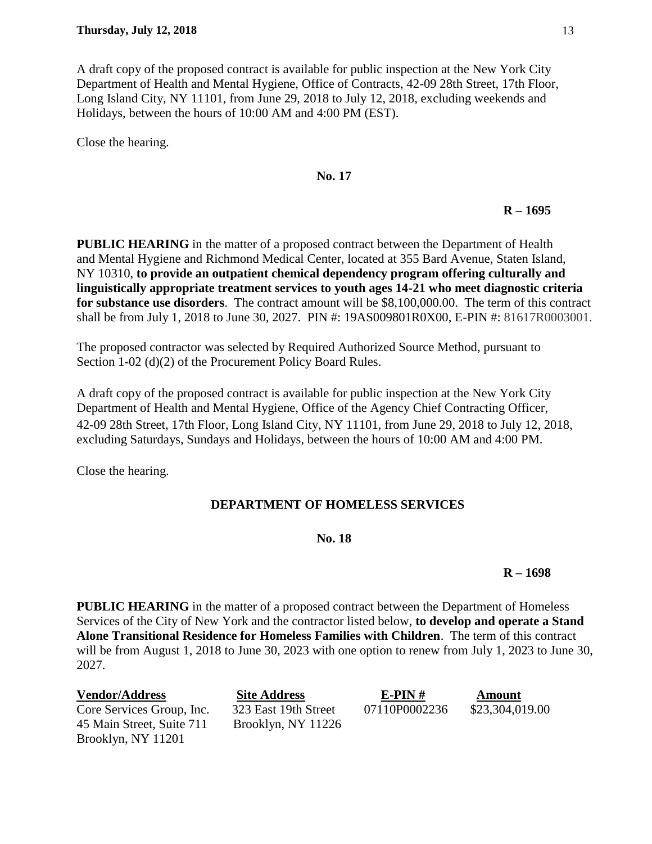A draft copy of the proposed contract is available for public inspection at the New York City Department of Health and Mental Hygiene, Office of Contracts, 42-09 28th Street, 17th Floor, Long Island City, NY 11101, from June 29, 2018 to July 12, 2018, excluding weekends and Holidays, between the hours of 10:00 AM and 4:00 PM (EST).

Close the hearing.

# **No. 17**

# **R – 1695**

**PUBLIC HEARING** in the matter of a proposed contract between the Department of Health and Mental Hygiene and Richmond Medical Center, located at 355 Bard Avenue, Staten Island, NY 10310, **to provide an outpatient chemical dependency program offering culturally and linguistically appropriate treatment services to youth ages 14-21 who meet diagnostic criteria for substance use disorders**. The contract amount will be \$8,100,000.00. The term of this contract shall be from July 1, 2018 to June 30, 2027. PIN #: 19AS009801R0X00, E-PIN #: 81617R0003001.

The proposed contractor was selected by Required Authorized Source Method, pursuant to Section 1-02 (d)(2) of the Procurement Policy Board Rules.

A draft copy of the proposed contract is available for public inspection at the New York City Department of Health and Mental Hygiene, Office of the Agency Chief Contracting Officer, 42-09 28th Street, 17th Floor, Long Island City, NY 11101, from June 29, 2018 to July 12, 2018, excluding Saturdays, Sundays and Holidays, between the hours of 10:00 AM and 4:00 PM.

Close the hearing.

# **DEPARTMENT OF HOMELESS SERVICES**

# **No. 18**

# **R – 1698**

**PUBLIC HEARING** in the matter of a proposed contract between the Department of Homeless Services of the City of New York and the contractor listed below, **to develop and operate a Stand Alone Transitional Residence for Homeless Families with Children**. The term of this contract will be from August 1, 2018 to June 30, 2023 with one option to renew from July 1, 2023 to June 30, 2027.

| <b>Vendor/Address</b>     | <b>Site Address</b>  | $E-PIN#$      | Amount          |
|---------------------------|----------------------|---------------|-----------------|
| Core Services Group, Inc. | 323 East 19th Street | 07110P0002236 | \$23,304,019.00 |
| 45 Main Street, Suite 711 | Brooklyn, NY 11226   |               |                 |
| Brooklyn, NY 11201        |                      |               |                 |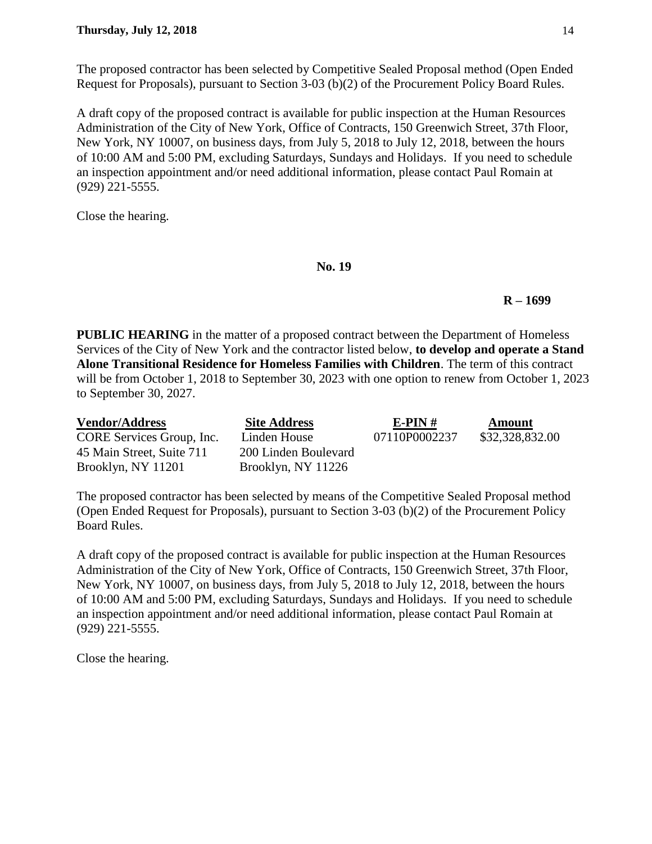A draft copy of the proposed contract is available for public inspection at the Human Resources Administration of the City of New York, Office of Contracts, 150 Greenwich Street, 37th Floor, New York, NY 10007, on business days, from July 5, 2018 to July 12, 2018, between the hours of 10:00 AM and 5:00 PM, excluding Saturdays, Sundays and Holidays. If you need to schedule an inspection appointment and/or need additional information, please contact Paul Romain at (929) 221-5555.

Close the hearing.

#### **No. 19**

# **R – 1699**

**PUBLIC HEARING** in the matter of a proposed contract between the Department of Homeless Services of the City of New York and the contractor listed below, **to develop and operate a Stand Alone Transitional Residence for Homeless Families with Children**. The term of this contract will be from October 1, 2018 to September 30, 2023 with one option to renew from October 1, 2023 to September 30, 2027.

| <b>Vendor/Address</b>     | <b>Site Address</b>  | E-PIN $#$     | Amount          |
|---------------------------|----------------------|---------------|-----------------|
| CORE Services Group, Inc. | Linden House         | 07110P0002237 | \$32,328,832.00 |
| 45 Main Street, Suite 711 | 200 Linden Boulevard |               |                 |
| Brooklyn, NY 11201        | Brooklyn, NY 11226   |               |                 |

The proposed contractor has been selected by means of the Competitive Sealed Proposal method (Open Ended Request for Proposals), pursuant to Section 3-03 (b)(2) of the Procurement Policy Board Rules.

A draft copy of the proposed contract is available for public inspection at the Human Resources Administration of the City of New York, Office of Contracts, 150 Greenwich Street, 37th Floor, New York, NY 10007, on business days, from July 5, 2018 to July 12, 2018, between the hours of 10:00 AM and 5:00 PM, excluding Saturdays, Sundays and Holidays. If you need to schedule an inspection appointment and/or need additional information, please contact Paul Romain at (929) 221-5555.

Close the hearing.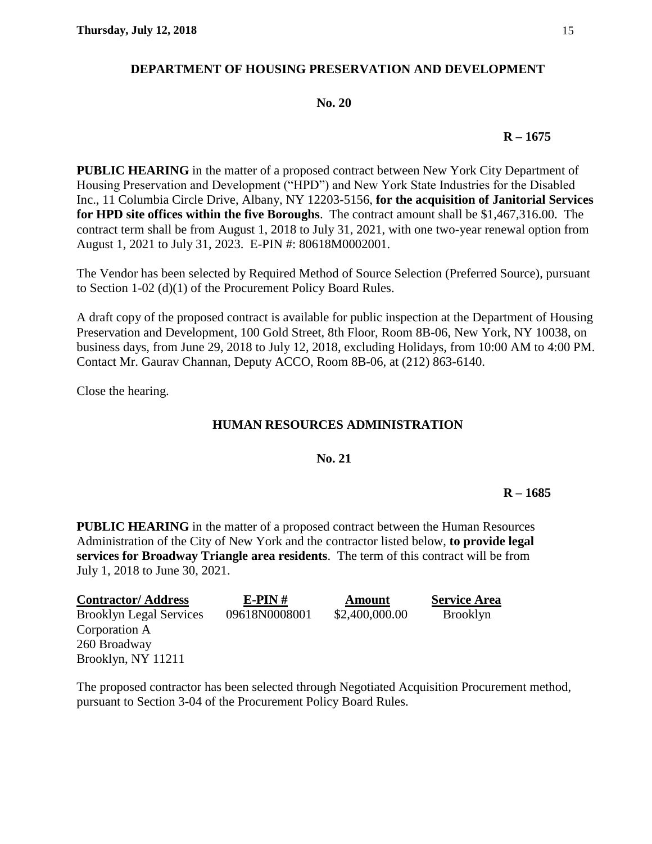# **DEPARTMENT OF HOUSING PRESERVATION AND DEVELOPMENT**

#### **No. 20**

#### **R – 1675**

**PUBLIC HEARING** in the matter of a proposed contract between New York City Department of Housing Preservation and Development ("HPD") and New York State Industries for the Disabled Inc., 11 Columbia Circle Drive, Albany, NY 12203-5156, **for the acquisition of Janitorial Services for HPD site offices within the five Boroughs**. The contract amount shall be \$1,467,316.00. The contract term shall be from August 1, 2018 to July 31, 2021, with one two-year renewal option from August 1, 2021 to July 31, 2023. E-PIN #: 80618M0002001.

The Vendor has been selected by Required Method of Source Selection (Preferred Source), pursuant to Section 1-02 (d)(1) of the Procurement Policy Board Rules.

A draft copy of the proposed contract is available for public inspection at the Department of Housing Preservation and Development, 100 Gold Street, 8th Floor, Room 8B-06, New York, NY 10038, on business days, from June 29, 2018 to July 12, 2018, excluding Holidays, from 10:00 AM to 4:00 PM. Contact Mr. Gaurav Channan, Deputy ACCO, Room 8B-06, at (212) 863-6140.

Close the hearing.

# **HUMAN RESOURCES ADMINISTRATION**

#### **No. 21**

#### **R – 1685**

**PUBLIC HEARING** in the matter of a proposed contract between the Human Resources Administration of the City of New York and the contractor listed below, **to provide legal services for Broadway Triangle area residents**. The term of this contract will be from July 1, 2018 to June 30, 2021.

| <b>Contractor/Address</b>      | $E-PIN#$      | <b>Amount</b>  | <b>Service Area</b> |
|--------------------------------|---------------|----------------|---------------------|
| <b>Brooklyn Legal Services</b> | 09618N0008001 | \$2,400,000.00 | <b>Brooklyn</b>     |
| Corporation A                  |               |                |                     |
| 260 Broadway                   |               |                |                     |
| Brooklyn, NY 11211             |               |                |                     |

The proposed contractor has been selected through Negotiated Acquisition Procurement method, pursuant to Section 3-04 of the Procurement Policy Board Rules.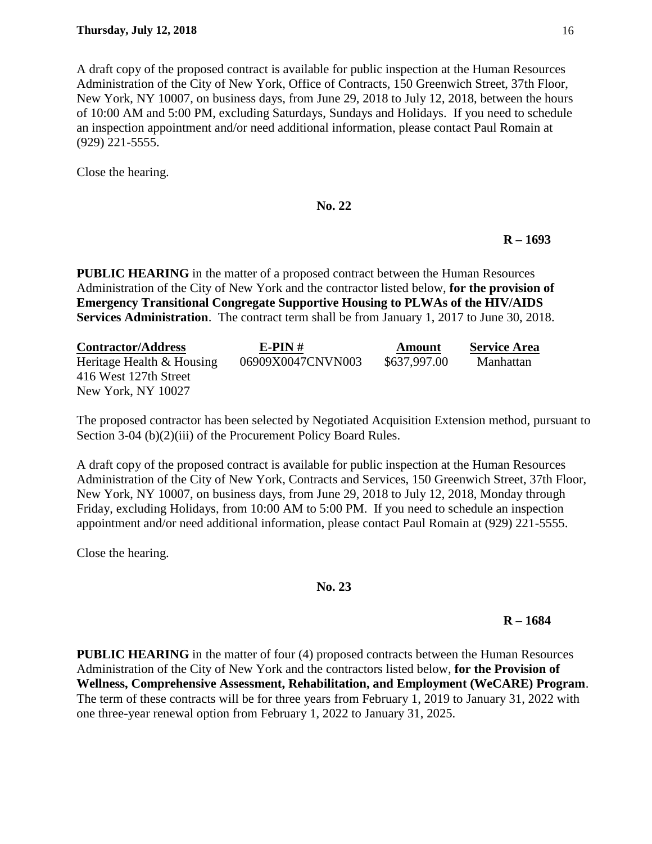A draft copy of the proposed contract is available for public inspection at the Human Resources Administration of the City of New York, Office of Contracts, 150 Greenwich Street, 37th Floor, New York, NY 10007, on business days, from June 29, 2018 to July 12, 2018, between the hours of 10:00 AM and 5:00 PM, excluding Saturdays, Sundays and Holidays. If you need to schedule an inspection appointment and/or need additional information, please contact Paul Romain at (929) 221-5555.

Close the hearing.

**No. 22**

**R – 1693**

**PUBLIC HEARING** in the matter of a proposed contract between the Human Resources Administration of the City of New York and the contractor listed below, **for the provision of Emergency Transitional Congregate Supportive Housing to PLWAs of the HIV/AIDS Services Administration**. The contract term shall be from January 1, 2017 to June 30, 2018.

| <b>Contractor/Address</b> | $E-PIN#$          | Amount       | <b>Service Area</b> |
|---------------------------|-------------------|--------------|---------------------|
| Heritage Health & Housing | 06909X0047CNVN003 | \$637,997.00 | Manhattan           |
| 416 West 127th Street     |                   |              |                     |
| New York, NY 10027        |                   |              |                     |

The proposed contractor has been selected by Negotiated Acquisition Extension method, pursuant to Section 3-04 (b)(2)(iii) of the Procurement Policy Board Rules.

A draft copy of the proposed contract is available for public inspection at the Human Resources Administration of the City of New York, Contracts and Services, 150 Greenwich Street, 37th Floor, New York, NY 10007, on business days, from June 29, 2018 to July 12, 2018, Monday through Friday, excluding Holidays, from 10:00 AM to 5:00 PM. If you need to schedule an inspection appointment and/or need additional information, please contact Paul Romain at (929) 221-5555.

Close the hearing.

**No. 23**

# **R – 1684**

**PUBLIC HEARING** in the matter of four (4) proposed contracts between the Human Resources Administration of the City of New York and the contractors listed below, **for the Provision of Wellness, Comprehensive Assessment, Rehabilitation, and Employment (WeCARE) Program**. The term of these contracts will be for three years from February 1, 2019 to January 31, 2022 with one three-year renewal option from February 1, 2022 to January 31, 2025.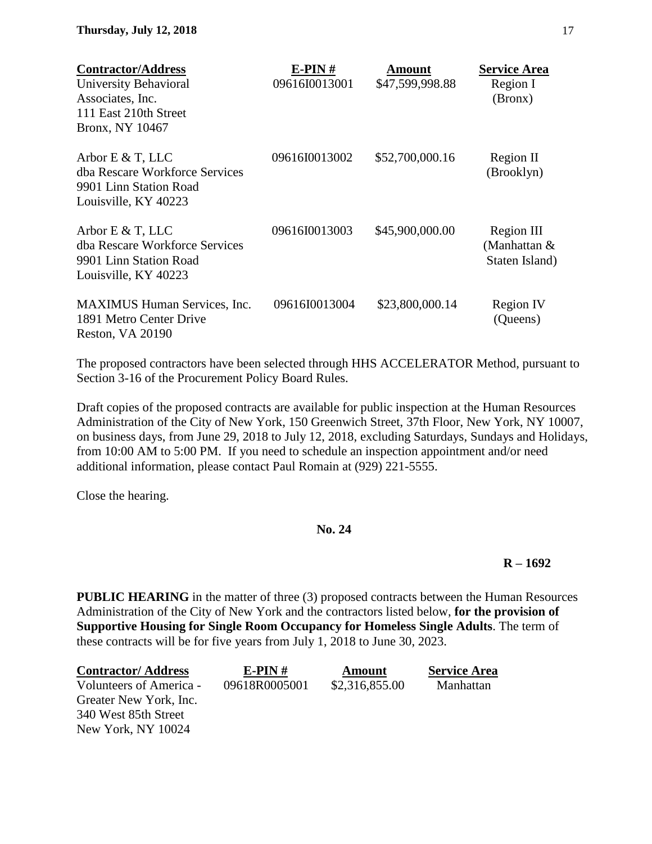| <b>Contractor/Address</b>                                                                                | $E-PIN#$      | <b>Amount</b>   | <b>Service Area</b>                          |
|----------------------------------------------------------------------------------------------------------|---------------|-----------------|----------------------------------------------|
| University Behavioral                                                                                    | 09616I0013001 | \$47,599,998.88 | Region I                                     |
| Associates, Inc.                                                                                         |               |                 | (Bronx)                                      |
| 111 East 210th Street                                                                                    |               |                 |                                              |
| Bronx, NY 10467                                                                                          |               |                 |                                              |
| Arbor $E \& T$ , LLC<br>dha Rescare Workforce Services<br>9901 Linn Station Road<br>Louisville, KY 40223 | 09616I0013002 | \$52,700,000.16 | Region II<br>(Brooklyn)                      |
| Arbor E $&$ T, LLC<br>dba Rescare Workforce Services<br>9901 Linn Station Road<br>Louisville, KY 40223   | 09616I0013003 | \$45,900,000.00 | Region III<br>(Manhattan &<br>Staten Island) |
| <b>MAXIMUS</b> Human Services, Inc.<br>1891 Metro Center Drive<br>Reston, VA 20190                       | 09616I0013004 | \$23,800,000.14 | <b>Region IV</b><br>(Queens)                 |

The proposed contractors have been selected through HHS ACCELERATOR Method, pursuant to Section 3-16 of the Procurement Policy Board Rules.

Draft copies of the proposed contracts are available for public inspection at the Human Resources Administration of the City of New York, 150 Greenwich Street, 37th Floor, New York, NY 10007, on business days, from June 29, 2018 to July 12, 2018, excluding Saturdays, Sundays and Holidays, from 10:00 AM to 5:00 PM. If you need to schedule an inspection appointment and/or need additional information, please contact Paul Romain at (929) 221-5555.

Close the hearing.

# **No. 24**

# **R – 1692**

**PUBLIC HEARING** in the matter of three (3) proposed contracts between the Human Resources Administration of the City of New York and the contractors listed below, **for the provision of Supportive Housing for Single Room Occupancy for Homeless Single Adults**. The term of these contracts will be for five years from July 1, 2018 to June 30, 2023.

| <b>Contractor/Address</b> | $E-PIN#$      | Amount         | <b>Service Area</b> |
|---------------------------|---------------|----------------|---------------------|
| Volunteers of America -   | 09618R0005001 | \$2,316,855.00 | Manhattan           |
| Greater New York, Inc.    |               |                |                     |
| 340 West 85th Street      |               |                |                     |
| New York, NY 10024        |               |                |                     |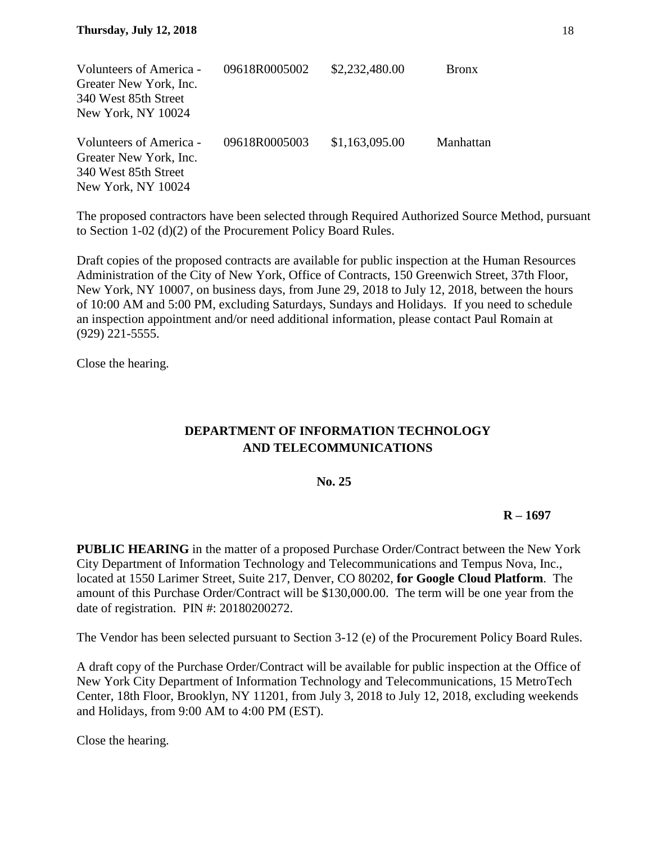| Volunteers of America - | 09618R0005002 | \$2,232,480.00 | <b>Bronx</b> |
|-------------------------|---------------|----------------|--------------|
| Greater New York, Inc.  |               |                |              |
| 340 West 85th Street    |               |                |              |
| New York, NY 10024      |               |                |              |
| Volunteers of America - | 09618R0005003 | \$1,163,095.00 | Manhattan    |
| Greater New York, Inc.  |               |                |              |
| 340 West 85th Street    |               |                |              |
| New York, NY 10024      |               |                |              |

The proposed contractors have been selected through Required Authorized Source Method, pursuant to Section 1-02 (d)(2) of the Procurement Policy Board Rules.

Draft copies of the proposed contracts are available for public inspection at the Human Resources Administration of the City of New York, Office of Contracts, 150 Greenwich Street, 37th Floor, New York, NY 10007, on business days, from June 29, 2018 to July 12, 2018, between the hours of 10:00 AM and 5:00 PM, excluding Saturdays, Sundays and Holidays. If you need to schedule an inspection appointment and/or need additional information, please contact Paul Romain at (929) 221-5555.

Close the hearing.

# **DEPARTMENT OF INFORMATION TECHNOLOGY AND TELECOMMUNICATIONS**

# **No. 25**

# **R – 1697**

**PUBLIC HEARING** in the matter of a proposed Purchase Order/Contract between the New York City Department of Information Technology and Telecommunications and Tempus Nova, Inc., located at 1550 Larimer Street, Suite 217, Denver, CO 80202, **for Google Cloud Platform**. The amount of this Purchase Order/Contract will be \$130,000.00. The term will be one year from the date of registration. PIN #: 20180200272.

The Vendor has been selected pursuant to Section 3-12 (e) of the Procurement Policy Board Rules.

A draft copy of the Purchase Order/Contract will be available for public inspection at the Office of New York City Department of Information Technology and Telecommunications, 15 MetroTech Center, 18th Floor, Brooklyn, NY 11201, from July 3, 2018 to July 12, 2018, excluding weekends and Holidays, from 9:00 AM to 4:00 PM (EST).

Close the hearing.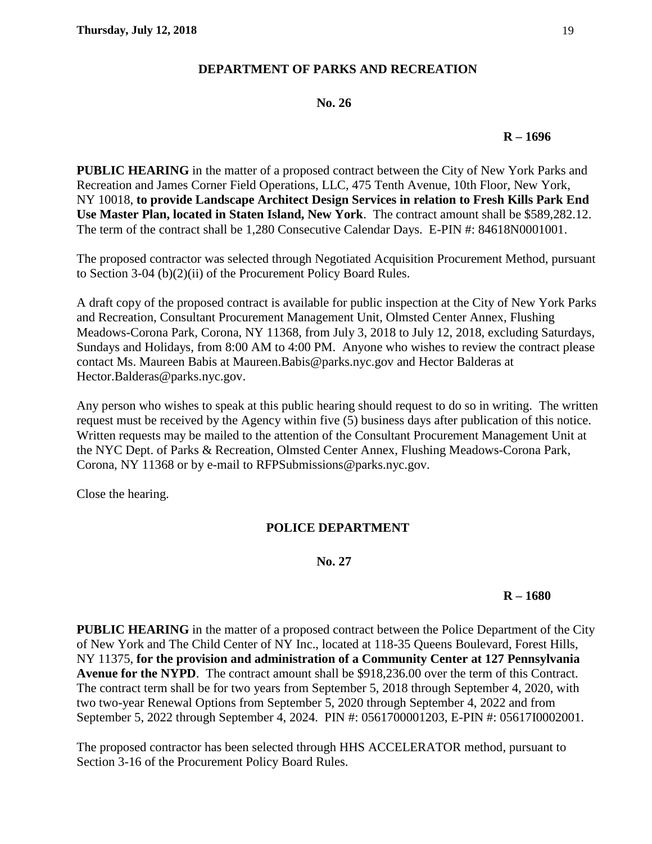# **DEPARTMENT OF PARKS AND RECREATION**

#### **No. 26**

#### **R – 1696**

**PUBLIC HEARING** in the matter of a proposed contract between the City of New York Parks and Recreation and James Corner Field Operations, LLC, 475 Tenth Avenue, 10th Floor, New York, NY 10018, **to provide Landscape Architect Design Services in relation to Fresh Kills Park End Use Master Plan, located in Staten Island, New York**. The contract amount shall be \$589,282.12. The term of the contract shall be 1,280 Consecutive Calendar Days. E-PIN #: 84618N0001001.

The proposed contractor was selected through Negotiated Acquisition Procurement Method, pursuant to Section 3-04 (b)(2)(ii) of the Procurement Policy Board Rules.

A draft copy of the proposed contract is available for public inspection at the City of New York Parks and Recreation, Consultant Procurement Management Unit, Olmsted Center Annex, Flushing Meadows-Corona Park, Corona, NY 11368, from July 3, 2018 to July 12, 2018, excluding Saturdays, Sundays and Holidays, from 8:00 AM to 4:00 PM. Anyone who wishes to review the contract please contact Ms. Maureen Babis at Maureen.Babis@parks.nyc.gov and Hector Balderas at Hector.Balderas@parks.nyc.gov.

Any person who wishes to speak at this public hearing should request to do so in writing. The written request must be received by the Agency within five (5) business days after publication of this notice. Written requests may be mailed to the attention of the Consultant Procurement Management Unit at the NYC Dept. of Parks & Recreation, Olmsted Center Annex, Flushing Meadows-Corona Park, Corona, NY 11368 or by e-mail to RFPSubmissions@parks.nyc.gov.

Close the hearing.

# **POLICE DEPARTMENT**

#### **No. 27**

# **R – 1680**

**PUBLIC HEARING** in the matter of a proposed contract between the Police Department of the City of New York and The Child Center of NY Inc., located at 118-35 Queens Boulevard, Forest Hills, NY 11375, **for the provision and administration of a Community Center at 127 Pennsylvania Avenue for the NYPD**. The contract amount shall be \$918,236.00 over the term of this Contract. The contract term shall be for two years from September 5, 2018 through September 4, 2020, with two two-year Renewal Options from September 5, 2020 through September 4, 2022 and from September 5, 2022 through September 4, 2024. PIN #: 0561700001203, E-PIN #: 05617I0002001.

The proposed contractor has been selected through HHS ACCELERATOR method, pursuant to Section 3-16 of the Procurement Policy Board Rules.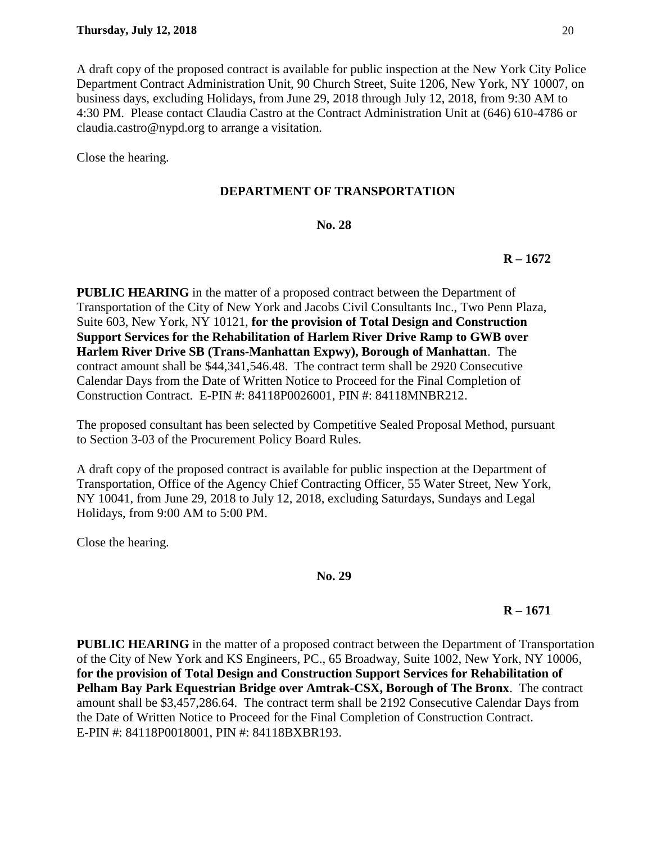A draft copy of the proposed contract is available for public inspection at the New York City Police Department Contract Administration Unit, 90 Church Street, Suite 1206, New York, NY 10007, on business days, excluding Holidays, from June 29, 2018 through July 12, 2018, from 9:30 AM to 4:30 PM. Please contact Claudia Castro at the Contract Administration Unit at (646) 610-4786 or claudia.castro@nypd.org to arrange a visitation.

Close the hearing.

# **DEPARTMENT OF TRANSPORTATION**

# **No. 28**

# **R – 1672**

**PUBLIC HEARING** in the matter of a proposed contract between the Department of Transportation of the City of New York and Jacobs Civil Consultants Inc., Two Penn Plaza, Suite 603, New York, NY 10121, **for the provision of Total Design and Construction Support Services for the Rehabilitation of Harlem River Drive Ramp to GWB over Harlem River Drive SB (Trans-Manhattan Expwy), Borough of Manhattan**. The contract amount shall be \$44,341,546.48. The contract term shall be 2920 Consecutive Calendar Days from the Date of Written Notice to Proceed for the Final Completion of Construction Contract. E-PIN #: 84118P0026001, PIN #: 84118MNBR212.

The proposed consultant has been selected by Competitive Sealed Proposal Method, pursuant to Section 3-03 of the Procurement Policy Board Rules.

A draft copy of the proposed contract is available for public inspection at the Department of Transportation, Office of the Agency Chief Contracting Officer, 55 Water Street, New York, NY 10041, from June 29, 2018 to July 12, 2018, excluding Saturdays, Sundays and Legal Holidays, from 9:00 AM to 5:00 PM.

Close the hearing.

#### **No. 29**

# **R – 1671**

**PUBLIC HEARING** in the matter of a proposed contract between the Department of Transportation of the City of New York and KS Engineers, PC., 65 Broadway, Suite 1002, New York, NY 10006, **for the provision of Total Design and Construction Support Services for Rehabilitation of Pelham Bay Park Equestrian Bridge over Amtrak-CSX, Borough of The Bronx**. The contract amount shall be \$3,457,286.64. The contract term shall be 2192 Consecutive Calendar Days from the Date of Written Notice to Proceed for the Final Completion of Construction Contract. E-PIN #: 84118P0018001, PIN #: 84118BXBR193.